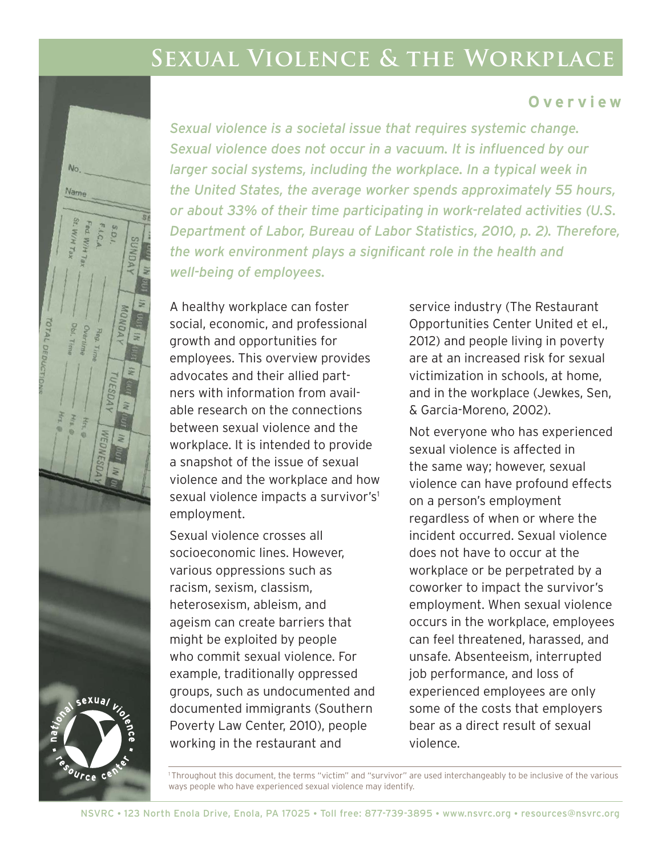# **Sexual Violence & the Workplace**

#### **Overview**

*Sexual violence is a societal issue that requires systemic change. Sexual violence does not occur in a vacuum. It is influenced by our larger social systems, including the workplace. In a typical week in the United States, the average worker spends approximately 55 hours, or about 33% of their time participating in work-related activities (U.S. Department of Labor, Bureau of Labor Statistics, 2010, p. 2). Therefore, the work environment plays a significant role in the health and well-being of employees.* 

A healthy workplace can foster social, economic, and professional growth and opportunities for employees. This overview provides advocates and their allied partners with information from available research on the connections between sexual violence and the workplace. It is intended to provide a snapshot of the issue of sexual violence and the workplace and how sexual violence impacts a survivor's<sup>1</sup> employment.

Sexual violence crosses all socioeconomic lines. However, various oppressions such as racism, sexism, classism, heterosexism, ableism, and ageism can create barriers that might be exploited by people who commit sexual violence. For example, traditionally oppressed groups, such as undocumented and documented immigrants (Southern Poverty Law Center, 2010), people working in the restaurant and

service industry (The Restaurant Opportunities Center United et el., 2012) and people living in poverty are at an increased risk for sexual victimization in schools, at home, and in the workplace (Jewkes, Sen, & Garcia-Moreno, 2002).

Not everyone who has experienced sexual violence is affected in the same way; however, sexual violence can have profound effects on a person's employment regardless of when or where the incident occurred. Sexual violence does not have to occur at the workplace or be perpetrated by a coworker to impact the survivor's employment. When sexual violence occurs in the workplace, employees can feel threatened, harassed, and unsafe. Absenteeism, interrupted job performance, and loss of experienced employees are only some of the costs that employers bear as a direct result of sexual violence.

1 Throughout this document, the terms "victim" and "survivor" are used interchangeably to be inclusive of the various ways people who have experienced sexual violence may identify.

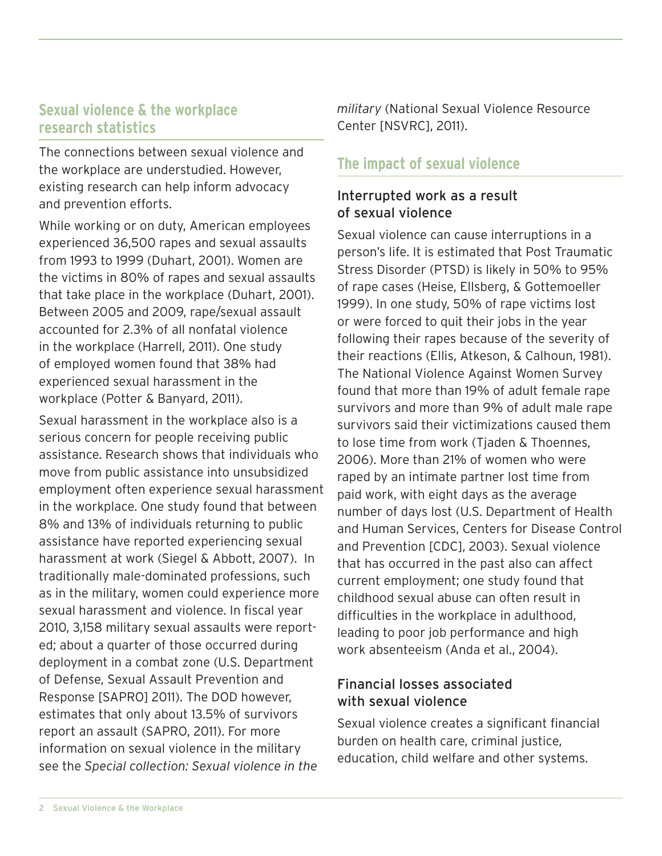## **Sexual violence & the workplace research statistics**

The connections between sexual violence and the workplace are understudied. However, existing research can help inform advocacy and prevention efforts.

While working or on duty, American employees experienced 36,500 rapes and sexual assaults from 1993 to 1999 (Duhart, 2001). Women are the victims in 80% of rapes and sexual assaults that take place in the workplace (Duhart, 2001). Between 2005 and 2009, rape/sexual assault accounted for 2.3% of all nonfatal violence in the workplace (Harrell, 2011). One study of employed women found that 38% had experienced sexual harassment in the workplace (Potter & Banyard, 2011).

Sexual harassment in the workplace also is a serious concern for people receiving public assistance. Research shows that individuals who move from public assistance into unsubsidized employment often experience sexual harassment in the workplace. One study found that between 8% and 13% of individuals returning to public assistance have reported experiencing sexual harassment at work (Siegel & Abbott, 2007). In traditionally male-dominated professions, such as in the military, women could experience more sexual harassment and violence. In fiscal year 2010, 3,158 military sexual assaults were reported; about a quarter of those occurred during deployment in a combat zone (U.S. Department of Defense, Sexual Assault Prevention and Response [SAPRO] 2011). The DOD however, estimates that only about 13.5% of survivors report an assault (SAPRO, 2011). For more information on sexual violence in the military see the *Special collection: Sexual violence in the* 

*military* (National Sexual Violence Resource Center [NSVRC], 2011).

## **The impact of sexual violence**

### Interrupted work as a result of sexual violence

Sexual violence can cause interruptions in a person's life. It is estimated that Post Traumatic Stress Disorder (PTSD) is likely in 50% to 95% of rape cases (Heise, Ellsberg, & Gottemoeller 1999). In one study, 50% of rape victims lost or were forced to quit their jobs in the year following their rapes because of the severity of their reactions (Ellis, Atkeson, & Calhoun, 1981). The National Violence Against Women Survey found that more than 19% of adult female rape survivors and more than 9% of adult male rape survivors said their victimizations caused them to lose time from work (Tjaden & Thoennes, 2006). More than 21% of women who were raped by an intimate partner lost time from paid work, with eight days as the average number of days lost (U.S. Department of Health and Human Services, Centers for Disease Control and Prevention [CDC], 2003). Sexual violence that has occurred in the past also can affect current employment; one study found that childhood sexual abuse can often result in difficulties in the workplace in adulthood, leading to poor job performance and high work absenteeism (Anda et al., 2004).

## Financial losses associated with sexual violence

Sexual violence creates a significant financial burden on health care, criminal justice, education, child welfare and other systems.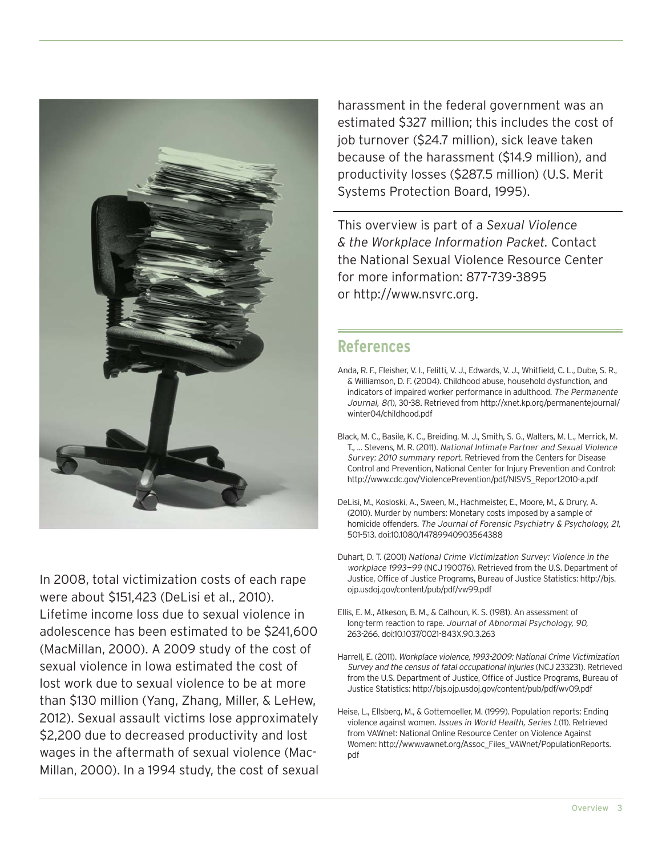

In 2008, total victimization costs of each rape were about \$151,423 (DeLisi et al., 2010). Lifetime income loss due to sexual violence in adolescence has been estimated to be \$241,600 (MacMillan, 2000). A 2009 study of the cost of sexual violence in Iowa estimated the cost of lost work due to sexual violence to be at more than \$130 million (Yang, Zhang, Miller, & LeHew, 2012). Sexual assault victims lose approximately \$2,200 due to decreased productivity and lost wages in the aftermath of sexual violence (Mac-Millan, 2000). In a 1994 study, the cost of sexual harassment in the federal government was an estimated \$327 million; this includes the cost of job turnover (\$24.7 million), sick leave taken because of the harassment (\$14.9 million), and productivity losses (\$287.5 million) (U.S. Merit Systems Protection Board, 1995).

This overview is part of a *Sexual Violence & the Workplace Information Packet.* Contact the National Sexual Violence Resource Center for more information: 877-739-3895 or http://www.nsvrc.org.

### **References**

- Anda, R. F., Fleisher, V. I., Felitti, V. J., Edwards, V. J., Whitfield, C. L., Dube, S. R., & Williamson, D. F. (2004). Childhood abuse, household dysfunction, and indicators of impaired worker performance in adulthood. The Permanente Journal, 8(1), 30-38. Retrieved from http://xnet.kp.org/permanentejournal/ winter04/childhood.pdf
- Black, M. C., Basile, K. C., Breiding, M. J., Smith, S. G., Walters, M. L., Merrick, M. T., ... Stevens, M. R. (2011). National Intimate Partner and Sexual Violence Survey: 2010 summary report. Retrieved from the Centers for Disease Control and Prevention, National Center for Injury Prevention and Control: http://www.cdc.gov/ViolencePrevention/pdf/NISVS\_Report2010-a.pdf
- DeLisi, M., Kosloski, A., Sween, M., Hachmeister, E., Moore, M., & Drury, A. (2010). Murder by numbers: Monetary costs imposed by a sample of homicide offenders. The Journal of Forensic Psychiatry & Psychology, 21, 501-513. doi:10.1080/14789940903564388
- Duhart, D. T. (2001) National Crime Victimization Survey: Violence in the workplace 1993—99 (NCJ 190076). Retrieved from the U.S. Department of Justice, Office of Justice Programs, Bureau of Justice Statistics: http://bjs. ojp.usdoj.gov/content/pub/pdf/vw99.pdf
- Ellis, E. M., Atkeson, B. M., & Calhoun, K. S. (1981). An assessment of long-term reaction to rape. Journal of Abnormal Psychology, 90, 263-266. doi:10.1037/0021-843X.90.3.263
- Harrell, E. (2011). Workplace violence, 1993-2009: National Crime Victimization Survey and the census of fatal occupational injuries (NCJ 233231). Retrieved from the U.S. Department of Justice, Office of Justice Programs, Bureau of Justice Statistics: http://bjs.ojp.usdoj.gov/content/pub/pdf/wv09.pdf
- Heise, L., Ellsberg, M., & Gottemoeller, M. (1999). Population reports: Ending violence against women. Issues in World Health, Series L(11). Retrieved from VAWnet: National Online Resource Center on Violence Against Women: http://www.vawnet.org/Assoc\_Files\_VAWnet/PopulationReports. pdf